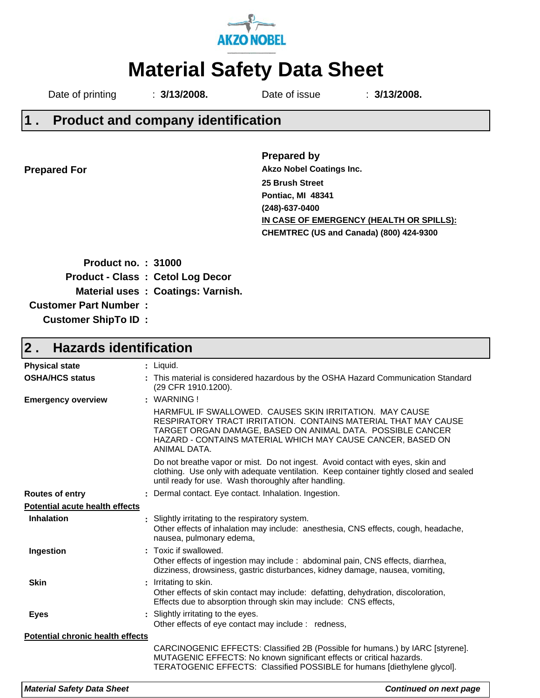

# **Material Safety Data Sheet**

Date of printing : **3/13/2008.** Date of issue : **3/13/2008.**

#### **Product and company identification 1 .**

**Prepared For**

**Prepared by 25 Brush Street Pontiac, MI 48341 (248)-637-0400 CHEMTREC (US and Canada) (800) 424-9300 IN CASE OF EMERGENCY (HEALTH OR SPILLS): Akzo Nobel Coatings Inc.**

| <b>Product no.: 31000</b>     |                                          |
|-------------------------------|------------------------------------------|
|                               | <b>Product - Class : Cetol Log Decor</b> |
|                               | Material uses: Coatings: Varnish.        |
| <b>Customer Part Number :</b> |                                          |
| <b>Customer ShipTo ID:</b>    |                                          |

#### **Hazards identification 2 .**

| <b>Physical state</b>                   | $:$ Liquid.                                                                                                                                                                                                                                                            |
|-----------------------------------------|------------------------------------------------------------------------------------------------------------------------------------------------------------------------------------------------------------------------------------------------------------------------|
| <b>OSHA/HCS status</b>                  | : This material is considered hazardous by the OSHA Hazard Communication Standard<br>(29 CFR 1910.1200).                                                                                                                                                               |
| <b>Emergency overview</b>               | : WARNING!                                                                                                                                                                                                                                                             |
|                                         | HARMFUL IF SWALLOWED. CAUSES SKIN IRRITATION. MAY CAUSE<br>RESPIRATORY TRACT IRRITATION. CONTAINS MATERIAL THAT MAY CAUSE<br>TARGET ORGAN DAMAGE, BASED ON ANIMAL DATA. POSSIBLE CANCER<br>HAZARD - CONTAINS MATERIAL WHICH MAY CAUSE CANCER, BASED ON<br>ANIMAL DATA. |
|                                         | Do not breathe vapor or mist. Do not ingest. Avoid contact with eyes, skin and<br>clothing. Use only with adequate ventilation. Keep container tightly closed and sealed<br>until ready for use. Wash thoroughly after handling.                                       |
| <b>Routes of entry</b>                  | : Dermal contact. Eye contact. Inhalation. Ingestion.                                                                                                                                                                                                                  |
| <b>Potential acute health effects</b>   |                                                                                                                                                                                                                                                                        |
| <b>Inhalation</b>                       | : Slightly irritating to the respiratory system.<br>Other effects of inhalation may include: anesthesia, CNS effects, cough, headache,<br>nausea, pulmonary edema,                                                                                                     |
| Ingestion                               | : Toxic if swallowed.<br>Other effects of ingestion may include : abdominal pain, CNS effects, diarrhea,<br>dizziness, drowsiness, gastric disturbances, kidney damage, nausea, vomiting,                                                                              |
| <b>Skin</b>                             | : Irritating to skin.<br>Other effects of skin contact may include: defatting, dehydration, discoloration,<br>Effects due to absorption through skin may include: CNS effects,                                                                                         |
| <b>Eyes</b>                             | : Slightly irritating to the eyes.<br>Other effects of eye contact may include : redness,                                                                                                                                                                              |
| <b>Potential chronic health effects</b> |                                                                                                                                                                                                                                                                        |
|                                         | CARCINOGENIC EFFECTS: Classified 2B (Possible for humans.) by IARC [styrene].<br>MUTAGENIC EFFECTS: No known significant effects or critical hazards.<br>TERATOGENIC EFFECTS: Classified POSSIBLE for humans [diethylene glycol].                                      |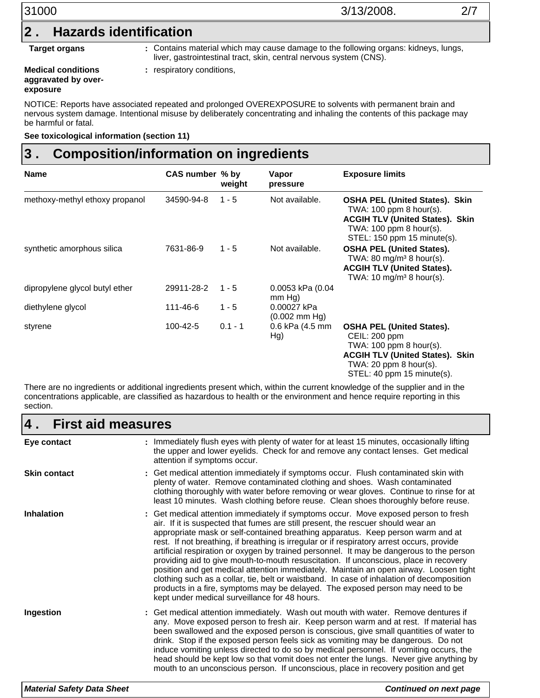| 31000                     | 3/13/2008.                                                                                                                                                | 2/7 |  |
|---------------------------|-----------------------------------------------------------------------------------------------------------------------------------------------------------|-----|--|
| 2                         | <b>Hazards identification</b>                                                                                                                             |     |  |
| <b>Target organs</b>      | : Contains material which may cause damage to the following organs: kidneys, lungs,<br>liver, gastrointestinal tract, skin, central nervous system (CNS). |     |  |
| <b>Medical conditions</b> | respiratory conditions,                                                                                                                                   |     |  |

**Medical conditions aggravated by overexposure**

respiratory conditions,

NOTICE: Reports have associated repeated and prolonged OVEREXPOSURE to solvents with permanent brain and nervous system damage. Intentional misuse by deliberately concentrating and inhaling the contents of this package may be harmful or fatal.

**See toxicological information (section 11)**

#### **Composition/information on ingredients 3 .**

| <b>Name</b>                    | CAS number % by | weight    | Vapor<br>pressure                        | <b>Exposure limits</b>                                                                                                                                                           |
|--------------------------------|-----------------|-----------|------------------------------------------|----------------------------------------------------------------------------------------------------------------------------------------------------------------------------------|
| methoxy-methyl ethoxy propanol | 34590-94-8      | $1 - 5$   | Not available.                           | <b>OSHA PEL (United States). Skin</b><br>TWA: 100 ppm 8 hour(s).<br><b>ACGIH TLV (United States). Skin</b><br>TWA: $100$ ppm 8 hour(s).<br>STEL: 150 ppm 15 minute(s).           |
| synthetic amorphous silica     | 7631-86-9       | $1 - 5$   | Not available.                           | <b>OSHA PEL (United States).</b><br>TWA: $80 \text{ mg/m}^3$ 8 hour(s).<br><b>ACGIH TLV (United States).</b><br>TWA: 10 mg/m <sup>3</sup> 8 hour(s).                             |
| dipropylene glycol butyl ether | 29911-28-2      | $1 - 5$   | 0.0053 kPa (0.04<br>$mm Hg$ )            |                                                                                                                                                                                  |
| diethylene glycol              | 111-46-6        | $1 - 5$   | 0.00027 kPa<br>$(0.002 \, \text{mm Hg})$ |                                                                                                                                                                                  |
| styrene                        | 100-42-5        | $0.1 - 1$ | 0.6 kPa (4.5 mm<br>Hg)                   | <b>OSHA PEL (United States).</b><br>CEIL: 200 ppm<br>TWA: 100 ppm 8 hour(s).<br><b>ACGIH TLV (United States). Skin</b><br>TWA: 20 ppm $8$ hour(s).<br>STEL: 40 ppm 15 minute(s). |

There are no ingredients or additional ingredients present which, within the current knowledge of the supplier and in the concentrations applicable, are classified as hazardous to health or the environment and hence require reporting in this section.

| $\overline{4}$ .<br><b>First aid measures</b> |                                                                                                                                                                                                                                                                                                                                                                                                                                                                                                                                                                                                                                                                                                                                                                                                                                                                        |  |  |
|-----------------------------------------------|------------------------------------------------------------------------------------------------------------------------------------------------------------------------------------------------------------------------------------------------------------------------------------------------------------------------------------------------------------------------------------------------------------------------------------------------------------------------------------------------------------------------------------------------------------------------------------------------------------------------------------------------------------------------------------------------------------------------------------------------------------------------------------------------------------------------------------------------------------------------|--|--|
| Eye contact                                   | : Immediately flush eyes with plenty of water for at least 15 minutes, occasionally lifting<br>the upper and lower eyelids. Check for and remove any contact lenses. Get medical<br>attention if symptoms occur.                                                                                                                                                                                                                                                                                                                                                                                                                                                                                                                                                                                                                                                       |  |  |
| <b>Skin contact</b>                           | : Get medical attention immediately if symptoms occur. Flush contaminated skin with<br>plenty of water. Remove contaminated clothing and shoes. Wash contaminated<br>clothing thoroughly with water before removing or wear gloves. Continue to rinse for at<br>least 10 minutes. Wash clothing before reuse. Clean shoes thoroughly before reuse.                                                                                                                                                                                                                                                                                                                                                                                                                                                                                                                     |  |  |
| <b>Inhalation</b>                             | : Get medical attention immediately if symptoms occur. Move exposed person to fresh<br>air. If it is suspected that fumes are still present, the rescuer should wear an<br>appropriate mask or self-contained breathing apparatus. Keep person warm and at<br>rest. If not breathing, if breathing is irregular or if respiratory arrest occurs, provide<br>artificial respiration or oxygen by trained personnel. It may be dangerous to the person<br>providing aid to give mouth-to-mouth resuscitation. If unconscious, place in recovery<br>position and get medical attention immediately. Maintain an open airway. Loosen tight<br>clothing such as a collar, tie, belt or waistband. In case of inhalation of decomposition<br>products in a fire, symptoms may be delayed. The exposed person may need to be<br>kept under medical surveillance for 48 hours. |  |  |
| Ingestion                                     | : Get medical attention immediately. Wash out mouth with water. Remove dentures if<br>any. Move exposed person to fresh air. Keep person warm and at rest. If material has<br>been swallowed and the exposed person is conscious, give small quantities of water to<br>drink. Stop if the exposed person feels sick as vomiting may be dangerous. Do not<br>induce vomiting unless directed to do so by medical personnel. If vomiting occurs, the<br>head should be kept low so that vomit does not enter the lungs. Never give anything by<br>mouth to an unconscious person. If unconscious, place in recovery position and get                                                                                                                                                                                                                                     |  |  |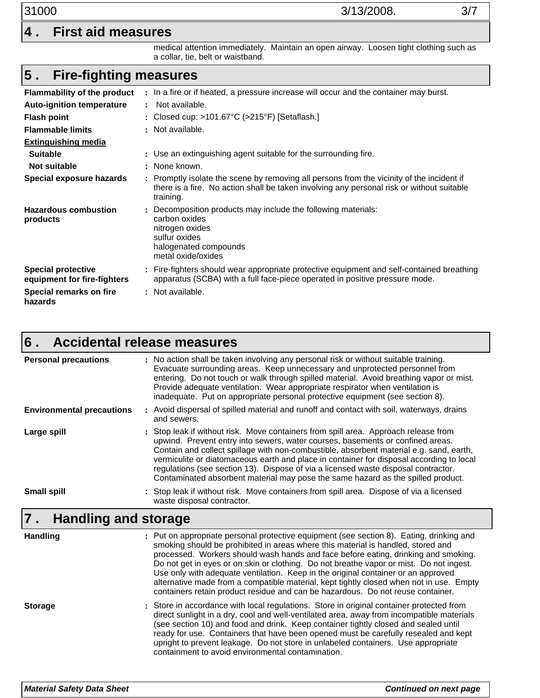### **4 . First aid measures**

medical attention immediately. Maintain an open airway. Loosen tight clothing such as a collar, tie, belt or waistband.

#### **Fire-fighting measures 5 .**

| <b>Flammability of the product</b>                       | : In a fire or if heated, a pressure increase will occur and the container may burst.                                                                                                               |
|----------------------------------------------------------|-----------------------------------------------------------------------------------------------------------------------------------------------------------------------------------------------------|
| <b>Auto-ignition temperature</b>                         | : Not available.                                                                                                                                                                                    |
| <b>Flash point</b>                                       | : Closed cup: >101.67 $\degree$ C (>215 $\degree$ F) [Setaflash.]                                                                                                                                   |
| <b>Flammable limits</b>                                  | : Not available.                                                                                                                                                                                    |
| <b>Extinguishing media</b>                               |                                                                                                                                                                                                     |
| <b>Suitable</b>                                          | : Use an extinguishing agent suitable for the surrounding fire.                                                                                                                                     |
| Not suitable                                             | : None known.                                                                                                                                                                                       |
| Special exposure hazards                                 | : Promptly isolate the scene by removing all persons from the vicinity of the incident if<br>there is a fire. No action shall be taken involving any personal risk or without suitable<br>training. |
| <b>Hazardous combustion</b><br>products                  | Decomposition products may include the following materials:<br>carbon oxides<br>nitrogen oxides<br>sulfur oxides<br>halogenated compounds<br>metal oxide/oxides                                     |
| <b>Special protective</b><br>equipment for fire-fighters | : Fire-fighters should wear appropriate protective equipment and self-contained breathing<br>apparatus (SCBA) with a full face-piece operated in positive pressure mode.                            |
| Special remarks on fire<br>hazards                       | : Not available.                                                                                                                                                                                    |

#### **Accidental release measures 6 .**

| <b>Personal precautions</b>      | : No action shall be taken involving any personal risk or without suitable training.<br>Evacuate surrounding areas. Keep unnecessary and unprotected personnel from<br>entering. Do not touch or walk through spilled material. Avoid breathing vapor or mist.<br>Provide adequate ventilation. Wear appropriate respirator when ventilation is<br>inadequate. Put on appropriate personal protective equipment (see section 8).                                                                                                                                                                                                 |
|----------------------------------|----------------------------------------------------------------------------------------------------------------------------------------------------------------------------------------------------------------------------------------------------------------------------------------------------------------------------------------------------------------------------------------------------------------------------------------------------------------------------------------------------------------------------------------------------------------------------------------------------------------------------------|
| <b>Environmental precautions</b> | : Avoid dispersal of spilled material and runoff and contact with soil, waterways, drains<br>and sewers.                                                                                                                                                                                                                                                                                                                                                                                                                                                                                                                         |
| Large spill                      | : Stop leak if without risk. Move containers from spill area. Approach release from<br>upwind. Prevent entry into sewers, water courses, basements or confined areas.<br>Contain and collect spillage with non-combustible, absorbent material e.g. sand, earth,<br>vermiculite or diatomaceous earth and place in container for disposal according to local<br>regulations (see section 13). Dispose of via a licensed waste disposal contractor.<br>Contaminated absorbent material may pose the same hazard as the spilled product.                                                                                           |
| <b>Small spill</b>               | : Stop leak if without risk. Move containers from spill area. Dispose of via a licensed<br>waste disposal contractor.                                                                                                                                                                                                                                                                                                                                                                                                                                                                                                            |
|                                  |                                                                                                                                                                                                                                                                                                                                                                                                                                                                                                                                                                                                                                  |
| <b>Handling and storage</b>      |                                                                                                                                                                                                                                                                                                                                                                                                                                                                                                                                                                                                                                  |
| <b>Handling</b>                  | : Put on appropriate personal protective equipment (see section 8). Eating, drinking and<br>smoking should be prohibited in areas where this material is handled, stored and<br>processed. Workers should wash hands and face before eating, drinking and smoking.<br>Do not get in eyes or on skin or clothing. Do not breathe vapor or mist. Do not ingest.<br>Use only with adequate ventilation. Keep in the original container or an approved<br>alternative made from a compatible material, kept tightly closed when not in use. Empty<br>containers retain product residue and can be hazardous. Do not reuse container. |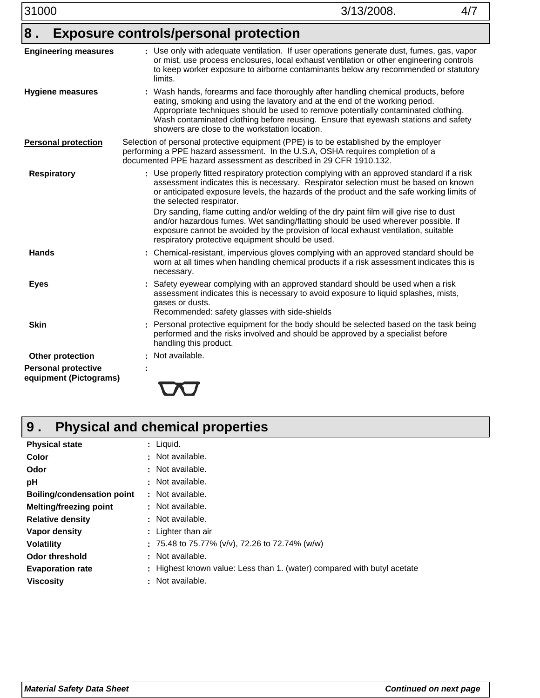| 8.                                                   | <b>Exposure controls/personal protection</b>                                                                                                                                                                                                                                                                                                                                                                                                                                                                                                                                                                                        |
|------------------------------------------------------|-------------------------------------------------------------------------------------------------------------------------------------------------------------------------------------------------------------------------------------------------------------------------------------------------------------------------------------------------------------------------------------------------------------------------------------------------------------------------------------------------------------------------------------------------------------------------------------------------------------------------------------|
| <b>Engineering measures</b>                          | : Use only with adequate ventilation. If user operations generate dust, fumes, gas, vapor<br>or mist, use process enclosures, local exhaust ventilation or other engineering controls<br>to keep worker exposure to airborne contaminants below any recommended or statutory<br>limits.                                                                                                                                                                                                                                                                                                                                             |
| <b>Hygiene measures</b>                              | : Wash hands, forearms and face thoroughly after handling chemical products, before<br>eating, smoking and using the lavatory and at the end of the working period.<br>Appropriate techniques should be used to remove potentially contaminated clothing.<br>Wash contaminated clothing before reusing. Ensure that eyewash stations and safety<br>showers are close to the workstation location.                                                                                                                                                                                                                                   |
| <b>Personal protection</b>                           | Selection of personal protective equipment (PPE) is to be established by the employer<br>performing a PPE hazard assessment. In the U.S.A, OSHA requires completion of a<br>documented PPE hazard assessment as described in 29 CFR 1910.132.                                                                                                                                                                                                                                                                                                                                                                                       |
| <b>Respiratory</b>                                   | : Use properly fitted respiratory protection complying with an approved standard if a risk<br>assessment indicates this is necessary. Respirator selection must be based on known<br>or anticipated exposure levels, the hazards of the product and the safe working limits of<br>the selected respirator.<br>Dry sanding, flame cutting and/or welding of the dry paint film will give rise to dust<br>and/or hazardous fumes. Wet sanding/flatting should be used wherever possible. If<br>exposure cannot be avoided by the provision of local exhaust ventilation, suitable<br>respiratory protective equipment should be used. |
| <b>Hands</b>                                         | Chemical-resistant, impervious gloves complying with an approved standard should be<br>worn at all times when handling chemical products if a risk assessment indicates this is<br>necessary.                                                                                                                                                                                                                                                                                                                                                                                                                                       |
| <b>Eyes</b>                                          | Safety eyewear complying with an approved standard should be used when a risk<br>assessment indicates this is necessary to avoid exposure to liquid splashes, mists,<br>gases or dusts.<br>Recommended: safety glasses with side-shields                                                                                                                                                                                                                                                                                                                                                                                            |
| <b>Skin</b>                                          | Personal protective equipment for the body should be selected based on the task being<br>÷<br>performed and the risks involved and should be approved by a specialist before<br>handling this product.                                                                                                                                                                                                                                                                                                                                                                                                                              |
| Other protection                                     | : Not available.                                                                                                                                                                                                                                                                                                                                                                                                                                                                                                                                                                                                                    |
| <b>Personal protective</b><br>equipment (Pictograms) |                                                                                                                                                                                                                                                                                                                                                                                                                                                                                                                                                                                                                                     |

### **Physical and chemical properties 9 .**

| <b>Physical state</b>             | : Liquid.                                                               |
|-----------------------------------|-------------------------------------------------------------------------|
| Color                             | : Not available.                                                        |
| Odor                              | : Not available.                                                        |
| рH                                | : Not available.                                                        |
| <b>Boiling/condensation point</b> | : Not available.                                                        |
| <b>Melting/freezing point</b>     | : Not available.                                                        |
| <b>Relative density</b>           | : Not available.                                                        |
| Vapor density                     | : Lighter than air                                                      |
| <b>Volatility</b>                 | : 75.48 to 75.77% (v/v), 72.26 to 72.74% (w/w)                          |
| <b>Odor threshold</b>             | : Not available.                                                        |
| <b>Evaporation rate</b>           | : Highest known value: Less than 1. (water) compared with butyl acetate |
| <b>Viscosity</b>                  | : Not available.                                                        |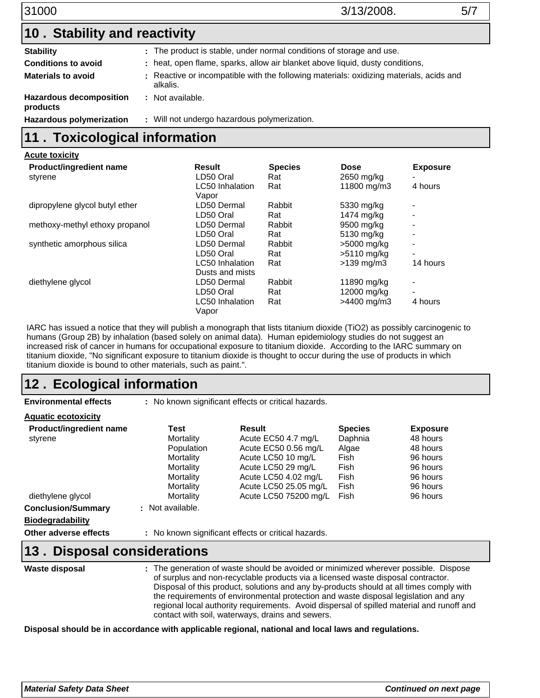| 31000 |
|-------|
|       |
|       |

### 31000 3/13/2008. 5/7

| 10. Stability and reactivity               |                                                                                                     |  |  |
|--------------------------------------------|-----------------------------------------------------------------------------------------------------|--|--|
| <b>Stability</b>                           | : The product is stable, under normal conditions of storage and use.                                |  |  |
| <b>Conditions to avoid</b>                 | : heat, open flame, sparks, allow air blanket above liquid, dusty conditions,                       |  |  |
| <b>Materials to avoid</b>                  | : Reactive or incompatible with the following materials: oxidizing materials, acids and<br>alkalis. |  |  |
| <b>Hazardous decomposition</b><br>products | : Not available.                                                                                    |  |  |
| <b>Hazardous polymerization</b>            | : Will not undergo hazardous polymerization.                                                        |  |  |

# **11 . Toxicological information**

| <b>Acute toxicity</b>          |                        |                |                         |                          |
|--------------------------------|------------------------|----------------|-------------------------|--------------------------|
| <b>Product/ingredient name</b> | Result                 | <b>Species</b> | <b>Dose</b>             | <b>Exposure</b>          |
| styrene                        | LD50 Oral              | Rat            | 2650 mg/kg              |                          |
|                                | <b>LC50</b> Inhalation | Rat            | 11800 mg/m3             | 4 hours                  |
|                                | Vapor                  |                |                         |                          |
| dipropylene glycol butyl ether | LD50 Dermal            | Rabbit         | 5330 mg/kg              |                          |
|                                | LD50 Oral              | Rat            | 1474 mg/kg              |                          |
| methoxy-methyl ethoxy propanol | LD50 Dermal            | Rabbit         | 9500 mg/kg              |                          |
|                                | LD50 Oral              | Rat            | 5130 mg/kg              |                          |
| synthetic amorphous silica     | LD50 Dermal            | Rabbit         | >5000 mg/kg             | $\overline{\phantom{0}}$ |
|                                | LD50 Oral              | Rat            | >5110 mg/kg             | $\overline{\phantom{a}}$ |
|                                | LC50 Inhalation        | Rat            | $>139 \,\mathrm{mq/m3}$ | 14 hours                 |
|                                | Dusts and mists        |                |                         |                          |
| diethylene glycol              | LD50 Dermal            | Rabbit         | 11890 mg/kg             |                          |
|                                | LD50 Oral              | Rat            | 12000 mg/kg             | $\,$                     |
|                                | LC50 Inhalation        | Rat            | $>4400$ mg/m3           | 4 hours                  |
|                                | Vapor                  |                |                         |                          |

IARC has issued a notice that they will publish a monograph that lists titanium dioxide (TiO2) as possibly carcinogenic to humans (Group 2B) by inhalation (based solely on animal data). Human epidemiology studies do not suggest an increased risk of cancer in humans for occupational exposure to titanium dioxide. According to the IARC summary on titanium dioxide, "No significant exposure to titanium dioxide is thought to occur during the use of products in which titanium dioxide is bound to other materials, such as paint.".

### 12. Ecological information

| <b>Environmental effects</b>                                                  | : No known significant effects or critical hazards.                                              |                                                                                                                                                                             |                                                                            |                                                                                                     |  |  |  |
|-------------------------------------------------------------------------------|--------------------------------------------------------------------------------------------------|-----------------------------------------------------------------------------------------------------------------------------------------------------------------------------|----------------------------------------------------------------------------|-----------------------------------------------------------------------------------------------------|--|--|--|
| <b>Aquatic ecotoxicity</b>                                                    |                                                                                                  |                                                                                                                                                                             |                                                                            |                                                                                                     |  |  |  |
| <b>Product/ingredient name</b><br>styrene<br>diethylene glycol                | Test<br>Mortality<br>Population<br>Mortality<br>Mortality<br>Mortality<br>Mortality<br>Mortality | Result<br>Acute EC50 4.7 mg/L<br>Acute EC50 0.56 mg/L<br>Acute LC50 10 mg/L<br>Acute LC50 29 mg/L<br>Acute LC50 4.02 mg/L<br>Acute LC50 25.05 mg/L<br>Acute LC50 75200 mg/L | <b>Species</b><br>Daphnia<br>Algae<br>Fish<br>Fish<br>Fish<br>Fish<br>Fish | <b>Exposure</b><br>48 hours<br>48 hours<br>96 hours<br>96 hours<br>96 hours<br>96 hours<br>96 hours |  |  |  |
| <b>Conclusion/Summary</b><br><b>Biodegradability</b><br>Other adverse effects | : Not available.                                                                                 | : No known significant effects or critical hazards.                                                                                                                         |                                                                            |                                                                                                     |  |  |  |

### **13. Disposal considerations**

**Waste disposal**

The generation of waste should be avoided or minimized wherever possible. Dispose **:** of surplus and non-recyclable products via a licensed waste disposal contractor. Disposal of this product, solutions and any by-products should at all times comply with the requirements of environmental protection and waste disposal legislation and any regional local authority requirements. Avoid dispersal of spilled material and runoff and contact with soil, waterways, drains and sewers.

**Disposal should be in accordance with applicable regional, national and local laws and regulations.**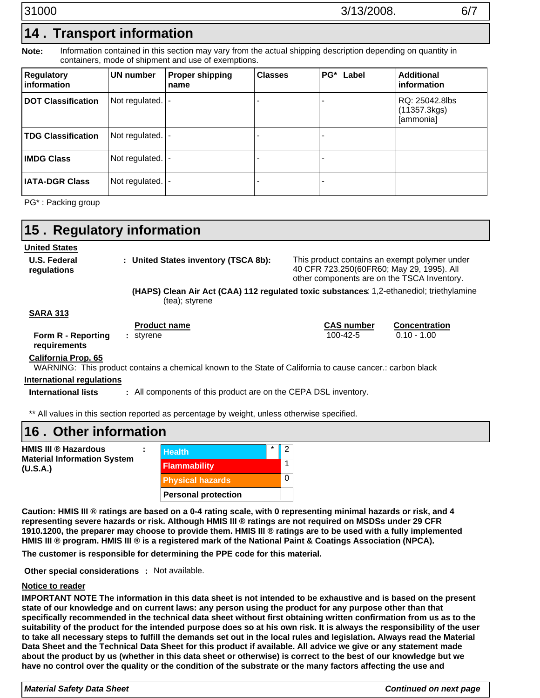# **Transport information 14 .**

Information contained in this section may vary from the actual shipping description depending on quantity in containers, mode of shipment and use of exemptions. **Note:**

| <b>Regulatory</b><br>information | UN number         | <b>Proper shipping</b><br>name | <b>Classes</b> | PG* Label | <b>Additional</b><br>information            |
|----------------------------------|-------------------|--------------------------------|----------------|-----------|---------------------------------------------|
| <b>DOT Classification</b>        | Not regulated.  - |                                |                |           | RQ: 25042.8lbs<br>(11357.3kgs)<br>[ammonia] |
| <b>TDG Classification</b>        | Not regulated.  - |                                |                |           |                                             |
| <b>IMDG Class</b>                | Not regulated. -  |                                |                |           |                                             |
| <b>IATA-DGR Class</b>            | Not regulated. -  |                                |                |           |                                             |

PG\* : Packing group

| 15. Regulatory information         |                                                                                                            |                                                                                                                                           |                      |  |
|------------------------------------|------------------------------------------------------------------------------------------------------------|-------------------------------------------------------------------------------------------------------------------------------------------|----------------------|--|
| <b>United States</b>               |                                                                                                            |                                                                                                                                           |                      |  |
| <b>U.S. Federal</b><br>regulations | : United States inventory (TSCA 8b):                                                                       | This product contains an exempt polymer under<br>40 CFR 723.250(60FR60; May 29, 1995). All<br>other components are on the TSCA Inventory. |                      |  |
|                                    | (HAPS) Clean Air Act (CAA) 112 regulated toxic substances: 1,2-ethanediol; triethylamine<br>(tea); styrene |                                                                                                                                           |                      |  |
| <b>SARA 313</b>                    |                                                                                                            |                                                                                                                                           |                      |  |
|                                    | <b>Product name</b>                                                                                        | <b>CAS number</b>                                                                                                                         | <b>Concentration</b> |  |
| Form R - Reporting<br>requirements | : styrene                                                                                                  | 100-42-5                                                                                                                                  | $0.10 - 1.00$        |  |
| <b>California Prop. 65</b>         |                                                                                                            |                                                                                                                                           |                      |  |
|                                    | WARNING: This product contains a chemical known to the State of California to cause cancer.: carbon black  |                                                                                                                                           |                      |  |
| <b>International regulations</b>   |                                                                                                            |                                                                                                                                           |                      |  |
| International lists                | : All components of this product are on the CEPA DSL inventory.                                            |                                                                                                                                           |                      |  |

\*\* All values in this section reported as percentage by weight, unless otherwise specified.

**Personal protection**

## **Other information 16 .**

| HMIS III ® Hazardous                           |  | <b>Health</b>           |  |  |
|------------------------------------------------|--|-------------------------|--|--|
| <b>Material Information System</b><br>(U.S.A.) |  | <b>Flammability</b>     |  |  |
|                                                |  | <b>Physical hazards</b> |  |  |

**Caution: HMIS III ® ratings are based on a 0-4 rating scale, with 0 representing minimal hazards or risk, and 4 representing severe hazards or risk. Although HMIS III ® ratings are not required on MSDSs under 29 CFR 1910.1200, the preparer may choose to provide them. HMIS III ® ratings are to be used with a fully implemented HMIS III ® program. HMIS III ® is a registered mark of the National Paint & Coatings Association (NPCA).**

**The customer is responsible for determining the PPE code for this material.**

**Other special considerations : Not available.** 

### **Notice to reader**

 $\overline{\mathbf{C}}$ 

**IMPORTANT NOTE The information in this data sheet is not intended to be exhaustive and is based on the present state of our knowledge and on current laws: any person using the product for any purpose other than that specifically recommended in the technical data sheet without first obtaining written confirmation from us as to the suitability of the product for the intended purpose does so at his own risk. It is always the responsibility of the user to take all necessary steps to fulfill the demands set out in the local rules and legislation. Always read the Material Data Sheet and the Technical Data Sheet for this product if available. All advice we give or any statement made about the product by us (whether in this data sheet or otherwise) is correct to the best of our knowledge but we have no control over the quality or the condition of the substrate or the many factors affecting the use and**